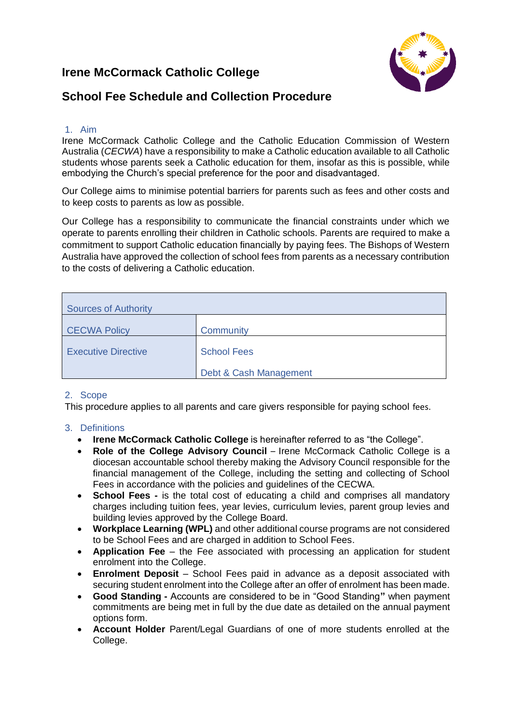# **Irene McCormack Catholic College**



# **School Fee Schedule and Collection Procedure**

### 1. Aim

Irene McCormack Catholic College and the Catholic Education Commission of Western Australia (*CECWA*) have a responsibility to make a Catholic education available to all Catholic students whose parents seek a Catholic education for them, insofar as this is possible, while embodying the Church's special preference for the poor and disadvantaged.

Our College aims to minimise potential barriers for parents such as fees and other costs and to keep costs to parents as low as possible.

Our College has a responsibility to communicate the financial constraints under which we operate to parents enrolling their children in Catholic schools. Parents are required to make a commitment to support Catholic education financially by paying fees. The Bishops of Western Australia have approved the collection of school fees from parents as a necessary contribution to the costs of delivering a Catholic education.

| <b>Sources of Authority</b> |                        |  |
|-----------------------------|------------------------|--|
| <b>CECWA Policy</b>         | Community              |  |
| <b>Executive Directive</b>  | <b>School Fees</b>     |  |
|                             | Debt & Cash Management |  |

#### 2. Scope

This procedure applies to all parents and care givers responsible for paying school fees.

# 3. Definitions

- **Irene McCormack Catholic College** is hereinafter referred to as "the College".
- **Role of the College Advisory Council** Irene McCormack Catholic College is a diocesan accountable school thereby making the Advisory Council responsible for the financial management of the College, including the setting and collecting of School Fees in accordance with the policies and guidelines of the CECWA.
- **School Fees -** is the total cost of educating a child and comprises all mandatory charges including tuition fees, year levies, curriculum levies, parent group levies and building levies approved by the College Board.
- **Workplace Learning (WPL)** and other additional course programs are not considered to be School Fees and are charged in addition to School Fees.
- **Application Fee** the Fee associated with processing an application for student enrolment into the College.
- **Enrolment Deposit** School Fees paid in advance as a deposit associated with securing student enrolment into the College after an offer of enrolment has been made.
- **Good Standing -** Accounts are considered to be in "Good Standing**"** when payment commitments are being met in full by the due date as detailed on the annual payment options form.
- **Account Holder** Parent/Legal Guardians of one of more students enrolled at the College.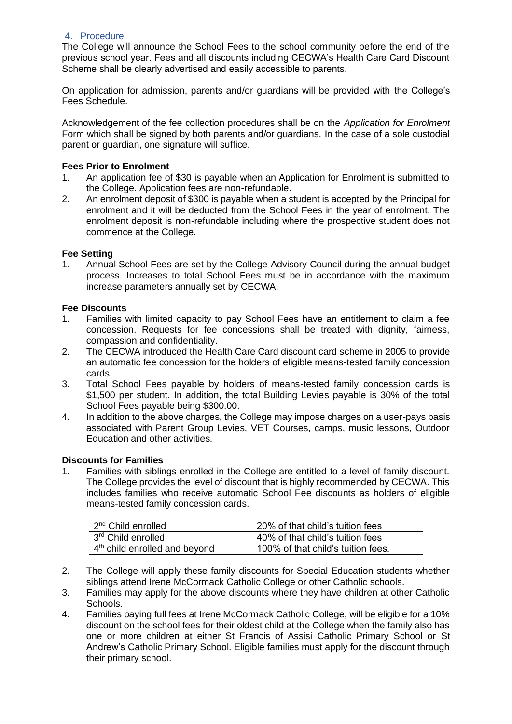#### 4. Procedure

The College will announce the School Fees to the school community before the end of the previous school year. Fees and all discounts including CECWA's Health Care Card Discount Scheme shall be clearly advertised and easily accessible to parents.

On application for admission, parents and/or guardians will be provided with the College's Fees Schedule.

Acknowledgement of the fee collection procedures shall be on the *Application for Enrolment* Form which shall be signed by both parents and/or guardians. In the case of a sole custodial parent or guardian, one signature will suffice.

#### **Fees Prior to Enrolment**

- 1. An application fee of \$30 is payable when an Application for Enrolment is submitted to the College. Application fees are non-refundable.
- 2. An enrolment deposit of \$300 is payable when a student is accepted by the Principal for enrolment and it will be deducted from the School Fees in the year of enrolment. The enrolment deposit is non-refundable including where the prospective student does not commence at the College.

#### **Fee Setting**

1. Annual School Fees are set by the College Advisory Council during the annual budget process. Increases to total School Fees must be in accordance with the maximum increase parameters annually set by CECWA.

#### **Fee Discounts**

- 1. Families with limited capacity to pay School Fees have an entitlement to claim a fee concession. Requests for fee concessions shall be treated with dignity, fairness, compassion and confidentiality.
- 2. The CECWA introduced the Health Care Card discount card scheme in 2005 to provide an automatic fee concession for the holders of eligible means-tested family concession cards.
- 3. Total School Fees payable by holders of means-tested family concession cards is \$1,500 per student. In addition, the total Building Levies payable is 30% of the total School Fees payable being \$300.00.
- 4. In addition to the above charges, the College may impose charges on a user-pays basis associated with Parent Group Levies, VET Courses, camps, music lessons, Outdoor Education and other activities.

#### **Discounts for Families**

1. Families with siblings enrolled in the College are entitled to a level of family discount. The College provides the level of discount that is highly recommended by CECWA. This includes families who receive automatic School Fee discounts as holders of eligible means-tested family concession cards.

| 2 <sup>nd</sup> Child enrolled  | 20% of that child's tuition fees   |
|---------------------------------|------------------------------------|
| 3 <sup>rd</sup> Child enrolled  | 40% of that child's tuition fees   |
| $4th$ child enrolled and beyond | 100% of that child's tuition fees. |

- 2. The College will apply these family discounts for Special Education students whether siblings attend Irene McCormack Catholic College or other Catholic schools.
- 3. Families may apply for the above discounts where they have children at other Catholic Schools.
- 4. Families paying full fees at Irene McCormack Catholic College, will be eligible for a 10% discount on the school fees for their oldest child at the College when the family also has one or more children at either St Francis of Assisi Catholic Primary School or St Andrew's Catholic Primary School. Eligible families must apply for the discount through their primary school.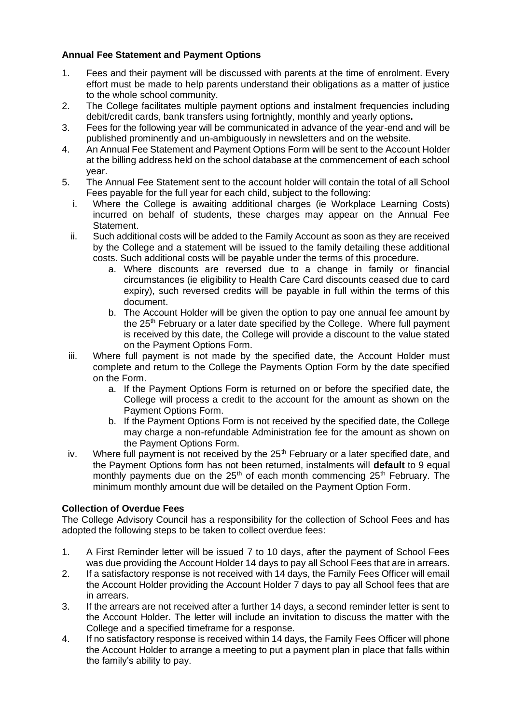# **Annual Fee Statement and Payment Options**

- 1. Fees and their payment will be discussed with parents at the time of enrolment. Every effort must be made to help parents understand their obligations as a matter of justice to the whole school community.
- 2. The College facilitates multiple payment options and instalment frequencies including debit/credit cards, bank transfers using fortnightly, monthly and yearly options**.**
- 3. Fees for the following year will be communicated in advance of the year-end and will be published prominently and un-ambiguously in newsletters and on the website.
- 4. An Annual Fee Statement and Payment Options Form will be sent to the Account Holder at the billing address held on the school database at the commencement of each school year.
- 5. The Annual Fee Statement sent to the account holder will contain the total of all School Fees payable for the full year for each child, subject to the following:
	- i. Where the College is awaiting additional charges (ie Workplace Learning Costs) incurred on behalf of students, these charges may appear on the Annual Fee Statement.
	- ii. Such additional costs will be added to the Family Account as soon as they are received by the College and a statement will be issued to the family detailing these additional costs. Such additional costs will be payable under the terms of this procedure.
		- a. Where discounts are reversed due to a change in family or financial circumstances (ie eligibility to Health Care Card discounts ceased due to card expiry), such reversed credits will be payable in full within the terms of this document.
		- b. The Account Holder will be given the option to pay one annual fee amount by the 25th February or a later date specified by the College. Where full payment is received by this date, the College will provide a discount to the value stated on the Payment Options Form.
	- iii. Where full payment is not made by the specified date, the Account Holder must complete and return to the College the Payments Option Form by the date specified on the Form.
		- a. If the Payment Options Form is returned on or before the specified date, the College will process a credit to the account for the amount as shown on the Payment Options Form.
		- b. If the Payment Options Form is not received by the specified date, the College may charge a non-refundable Administration fee for the amount as shown on the Payment Options Form.
	- iv. Where full payment is not received by the  $25<sup>th</sup>$  February or a later specified date. and the Payment Options form has not been returned, instalments will **default** to 9 equal monthly payments due on the  $25<sup>th</sup>$  of each month commencing  $25<sup>th</sup>$  February. The minimum monthly amount due will be detailed on the Payment Option Form.

# **Collection of Overdue Fees**

The College Advisory Council has a responsibility for the collection of School Fees and has adopted the following steps to be taken to collect overdue fees:

- 1. A First Reminder letter will be issued 7 to 10 days, after the payment of School Fees was due providing the Account Holder 14 days to pay all School Fees that are in arrears.
- 2. If a satisfactory response is not received with 14 days, the Family Fees Officer will email the Account Holder providing the Account Holder 7 days to pay all School fees that are in arrears.
- 3. If the arrears are not received after a further 14 days, a second reminder letter is sent to the Account Holder. The letter will include an invitation to discuss the matter with the College and a specified timeframe for a response.
- 4. If no satisfactory response is received within 14 days, the Family Fees Officer will phone the Account Holder to arrange a meeting to put a payment plan in place that falls within the family's ability to pay.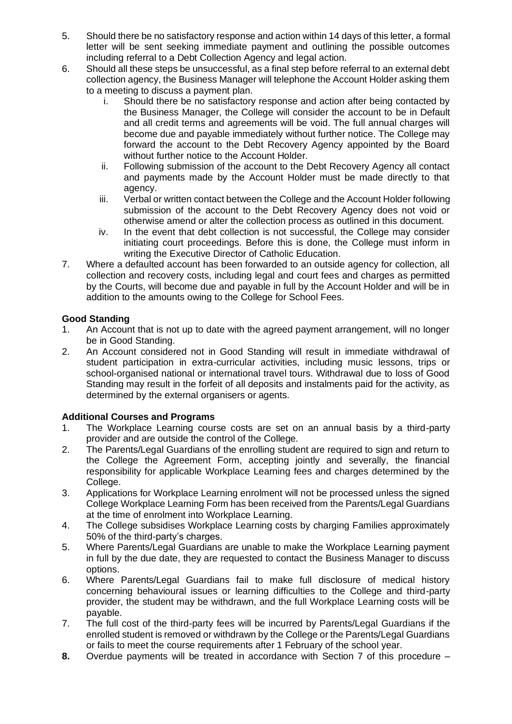- 5. Should there be no satisfactory response and action within 14 days of this letter, a formal letter will be sent seeking immediate payment and outlining the possible outcomes including referral to a Debt Collection Agency and legal action.
- 6. Should all these steps be unsuccessful, as a final step before referral to an external debt collection agency, the Business Manager will telephone the Account Holder asking them to a meeting to discuss a payment plan.
	- i. Should there be no satisfactory response and action after being contacted by the Business Manager, the College will consider the account to be in Default and all credit terms and agreements will be void. The full annual charges will become due and payable immediately without further notice. The College may forward the account to the Debt Recovery Agency appointed by the Board without further notice to the Account Holder.
	- ii. Following submission of the account to the Debt Recovery Agency all contact and payments made by the Account Holder must be made directly to that agency.
	- iii. Verbal or written contact between the College and the Account Holder following submission of the account to the Debt Recovery Agency does not void or otherwise amend or alter the collection process as outlined in this document.
	- iv. In the event that debt collection is not successful, the College may consider initiating court proceedings. Before this is done, the College must inform in writing the Executive Director of Catholic Education.
- 7. Where a defaulted account has been forwarded to an outside agency for collection, all collection and recovery costs, including legal and court fees and charges as permitted by the Courts, will become due and payable in full by the Account Holder and will be in addition to the amounts owing to the College for School Fees.

# **Good Standing**

- 1. An Account that is not up to date with the agreed payment arrangement, will no longer be in Good Standing.
- 2. An Account considered not in Good Standing will result in immediate withdrawal of student participation in extra-curricular activities, including music lessons, trips or school-organised national or international travel tours. Withdrawal due to loss of Good Standing may result in the forfeit of all deposits and instalments paid for the activity, as determined by the external organisers or agents.

# **Additional Courses and Programs**

- 1. The Workplace Learning course costs are set on an annual basis by a third-party provider and are outside the control of the College.
- 2. The Parents/Legal Guardians of the enrolling student are required to sign and return to the College the Agreement Form, accepting jointly and severally, the financial responsibility for applicable Workplace Learning fees and charges determined by the College.
- 3. Applications for Workplace Learning enrolment will not be processed unless the signed College Workplace Learning Form has been received from the Parents/Legal Guardians at the time of enrolment into Workplace Learning.
- 4. The College subsidises Workplace Learning costs by charging Families approximately 50% of the third-party's charges.
- 5. Where Parents/Legal Guardians are unable to make the Workplace Learning payment in full by the due date, they are requested to contact the Business Manager to discuss options.
- 6. Where Parents/Legal Guardians fail to make full disclosure of medical history concerning behavioural issues or learning difficulties to the College and third-party provider, the student may be withdrawn, and the full Workplace Learning costs will be payable.
- 7. The full cost of the third-party fees will be incurred by Parents/Legal Guardians if the enrolled student is removed or withdrawn by the College or the Parents/Legal Guardians or fails to meet the course requirements after 1 February of the school year.
- **8.** Overdue payments will be treated in accordance with Section 7 of this procedure –